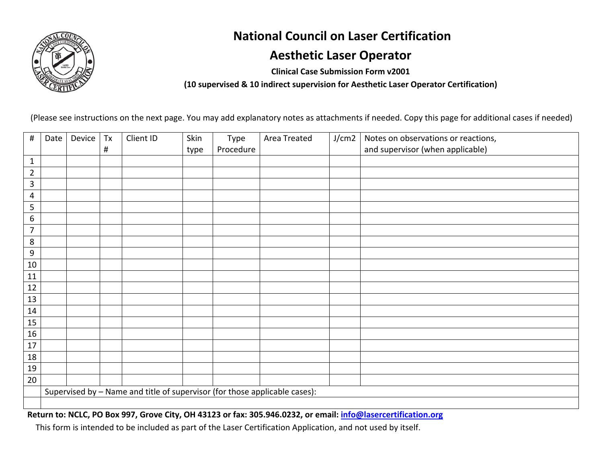

## **National Council on Laser Certification**

## **Aesthetic Laser Operator**

**Clinical Case Submission Form v2001** 

**(10 supervised & 10 indirect supervision for Aesthetic Laser Operator Certification)** 

(Please see instructions on the next page. You may add explanatory notes as attachments if needed. Copy this page for additional cases if needed)

| $\#$           | Date | Device                                                                     | Tx       | Client ID | Skin | Type      | Area Treated | J/cm2 | Notes on observations or reactions, |  |
|----------------|------|----------------------------------------------------------------------------|----------|-----------|------|-----------|--------------|-------|-------------------------------------|--|
|                |      |                                                                            | $\sharp$ |           | type | Procedure |              |       | and supervisor (when applicable)    |  |
| $1\,$          |      |                                                                            |          |           |      |           |              |       |                                     |  |
| $\overline{2}$ |      |                                                                            |          |           |      |           |              |       |                                     |  |
| $\mathbf{3}$   |      |                                                                            |          |           |      |           |              |       |                                     |  |
| 4              |      |                                                                            |          |           |      |           |              |       |                                     |  |
| 5              |      |                                                                            |          |           |      |           |              |       |                                     |  |
| 6              |      |                                                                            |          |           |      |           |              |       |                                     |  |
| 7              |      |                                                                            |          |           |      |           |              |       |                                     |  |
| $\bf 8$        |      |                                                                            |          |           |      |           |              |       |                                     |  |
| 9              |      |                                                                            |          |           |      |           |              |       |                                     |  |
| 10             |      |                                                                            |          |           |      |           |              |       |                                     |  |
| 11             |      |                                                                            |          |           |      |           |              |       |                                     |  |
| 12             |      |                                                                            |          |           |      |           |              |       |                                     |  |
| 13             |      |                                                                            |          |           |      |           |              |       |                                     |  |
| 14             |      |                                                                            |          |           |      |           |              |       |                                     |  |
| 15             |      |                                                                            |          |           |      |           |              |       |                                     |  |
| 16             |      |                                                                            |          |           |      |           |              |       |                                     |  |
| 17             |      |                                                                            |          |           |      |           |              |       |                                     |  |
| 18             |      |                                                                            |          |           |      |           |              |       |                                     |  |
| 19             |      |                                                                            |          |           |      |           |              |       |                                     |  |
| 20             |      |                                                                            |          |           |      |           |              |       |                                     |  |
|                |      | Supervised by - Name and title of supervisor (for those applicable cases): |          |           |      |           |              |       |                                     |  |
|                |      |                                                                            |          |           |      |           |              |       |                                     |  |

**Return to: NCLC, PO Box 997, Grove City, OH 43123 or fax: 305.946.0232, or email: info@lasercertification.org**

This form is intended to be included as part of the Laser Certification Application, and not used by itself.